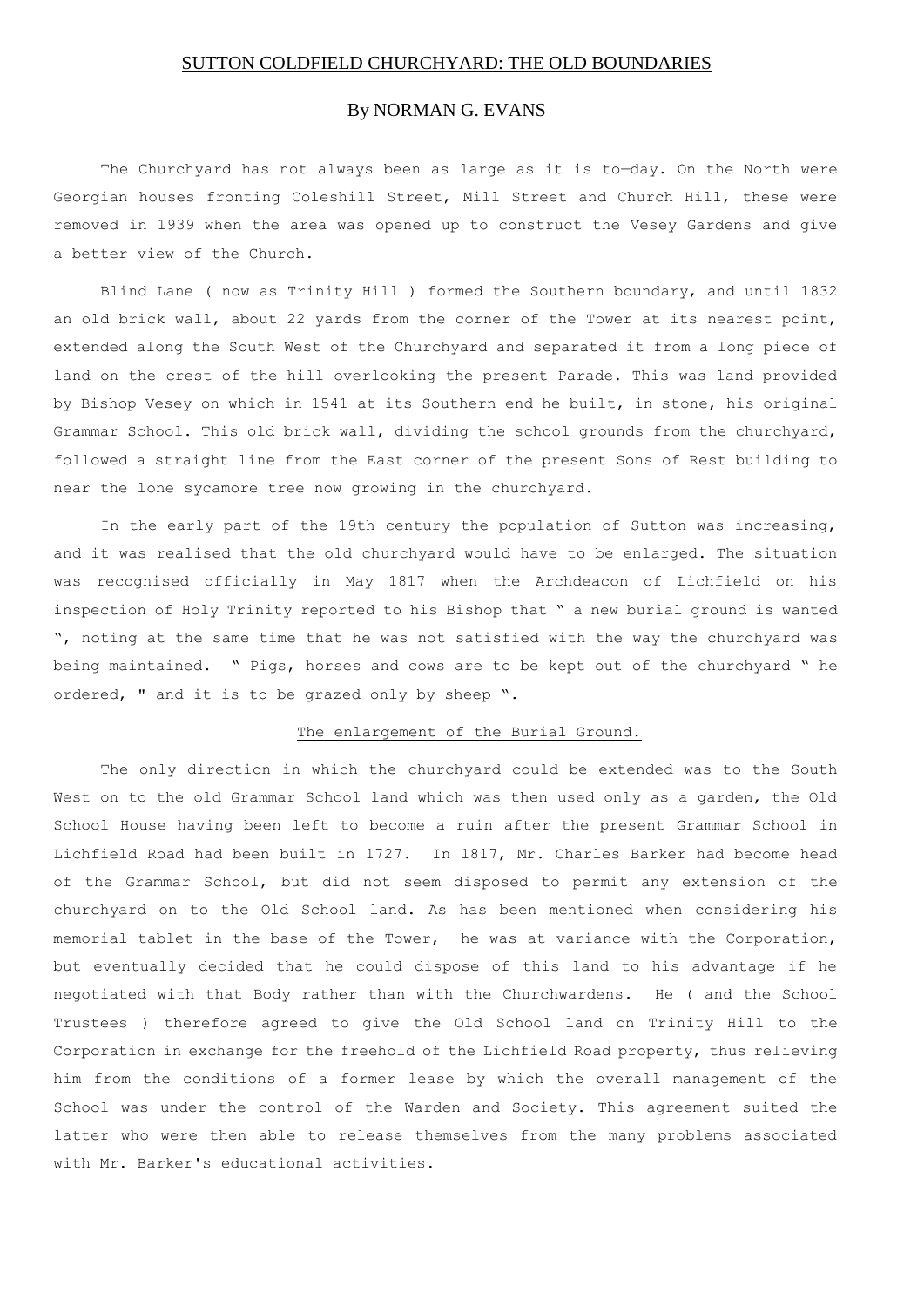## SUTTON COLDFIELD CHURCHYARD: THE OLD BOUNDARIES

# By NORMAN G. EVANS

The Churchyard has not always been as large as it is to—day. On the North were Georgian houses fronting Coleshill Street, Mill Street and Church Hill, these were removed in 1939 when the area was opened up to construct the Vesey Gardens and give a better view of the Church.

Blind Lane ( now as Trinity Hill ) formed the Southern boundary, and until 1832 an old brick wall, about 22 yards from the corner of the Tower at its nearest point, extended along the South West of the Churchyard and separated it from a long piece of land on the crest of the hill overlooking the present Parade. This was land provided by Bishop Vesey on which in 1541 at its Southern end he built, in stone, his original Grammar School. This old brick wall, dividing the school grounds from the churchyard, followed a straight line from the East corner of the present Sons of Rest building to near the lone sycamore tree now growing in the churchyard.

In the early part of the 19th century the population of Sutton was increasing, and it was realised that the old churchyard would have to be enlarged. The situation was recognised officially in May 1817 when the Archdeacon of Lichfield on his inspection of Holy Trinity reported to his Bishop that " a new burial ground is wanted ", noting at the same time that he was not satisfied with the way the churchyard was being maintained. " Pigs, horses and cows are to be kept out of the churchyard " he ordered, " and it is to be grazed only by sheep ".

## The enlargement of the Burial Ground.

The only direction in which the churchyard could be extended was to the South West on to the old Grammar School land which was then used only as a garden, the Old School House having been left to become a ruin after the present Grammar School in Lichfield Road had been built in 1727. In 1817, Mr. Charles Barker had become head of the Grammar School, but did not seem disposed to permit any extension of the churchyard on to the Old School land. As has been mentioned when considering his memorial tablet in the base of the Tower, he was at variance with the Corporation, but eventually decided that he could dispose of this land to his advantage if he negotiated with that Body rather than with the Churchwardens. He ( and the School Trustees ) therefore agreed to give the Old School land on Trinity Hill to the Corporation in exchange for the freehold of the Lichfield Road property, thus relieving him from the conditions of a former lease by which the overall management of the School was under the control of the Warden and Society. This agreement suited the latter who were then able to release themselves from the many problems associated with Mr. Barker's educational activities.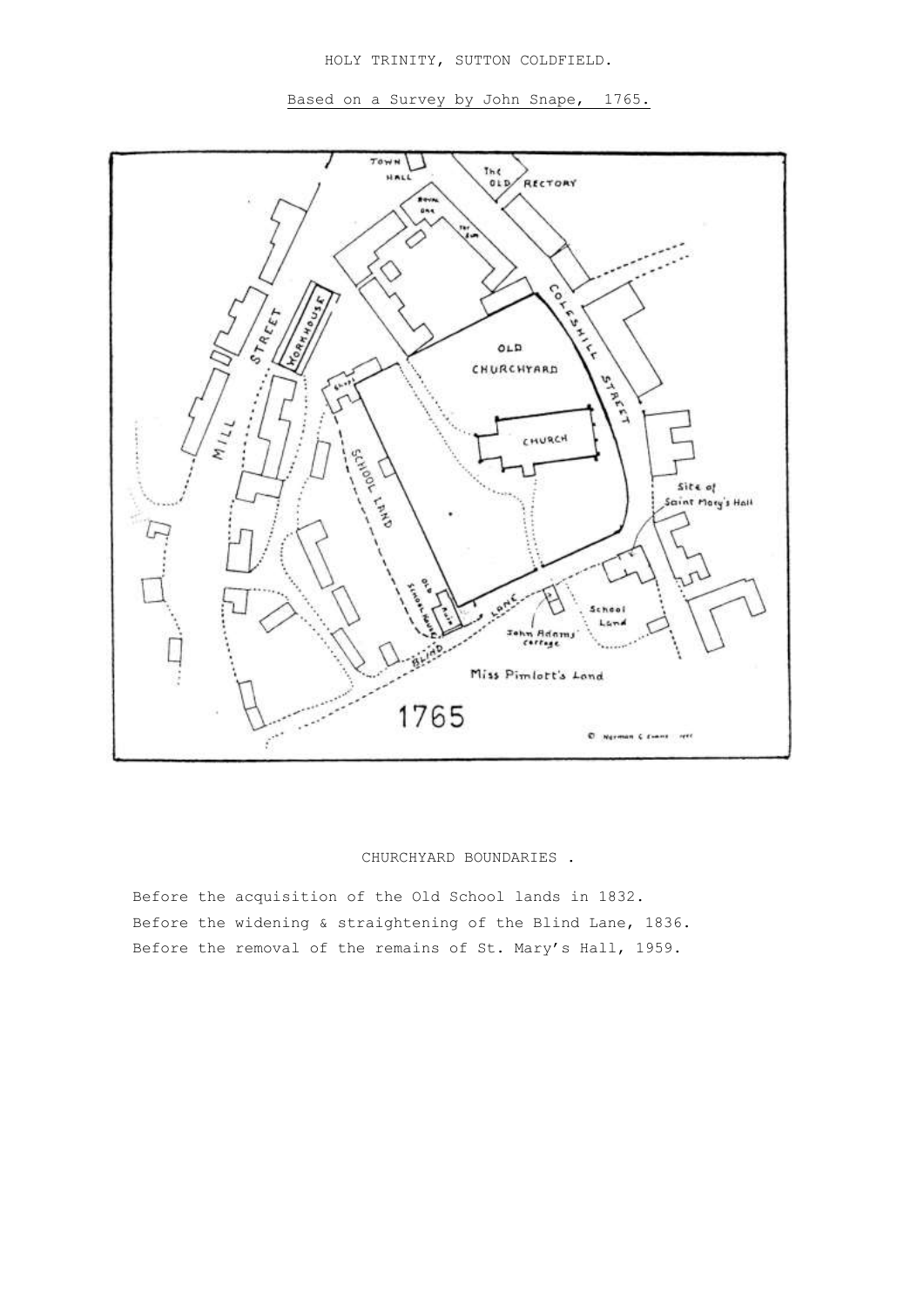HOLY TRINITY, SUTTON COLDFIELD.

Based on a Survey by John Snape, 1765.



## CHURCHYARD BOUNDARIES .

Before the acquisition of the Old School lands in 1832. Before the widening & straightening of the Blind Lane, 1836. Before the removal of the remains of St. Mary's Hall, 1959.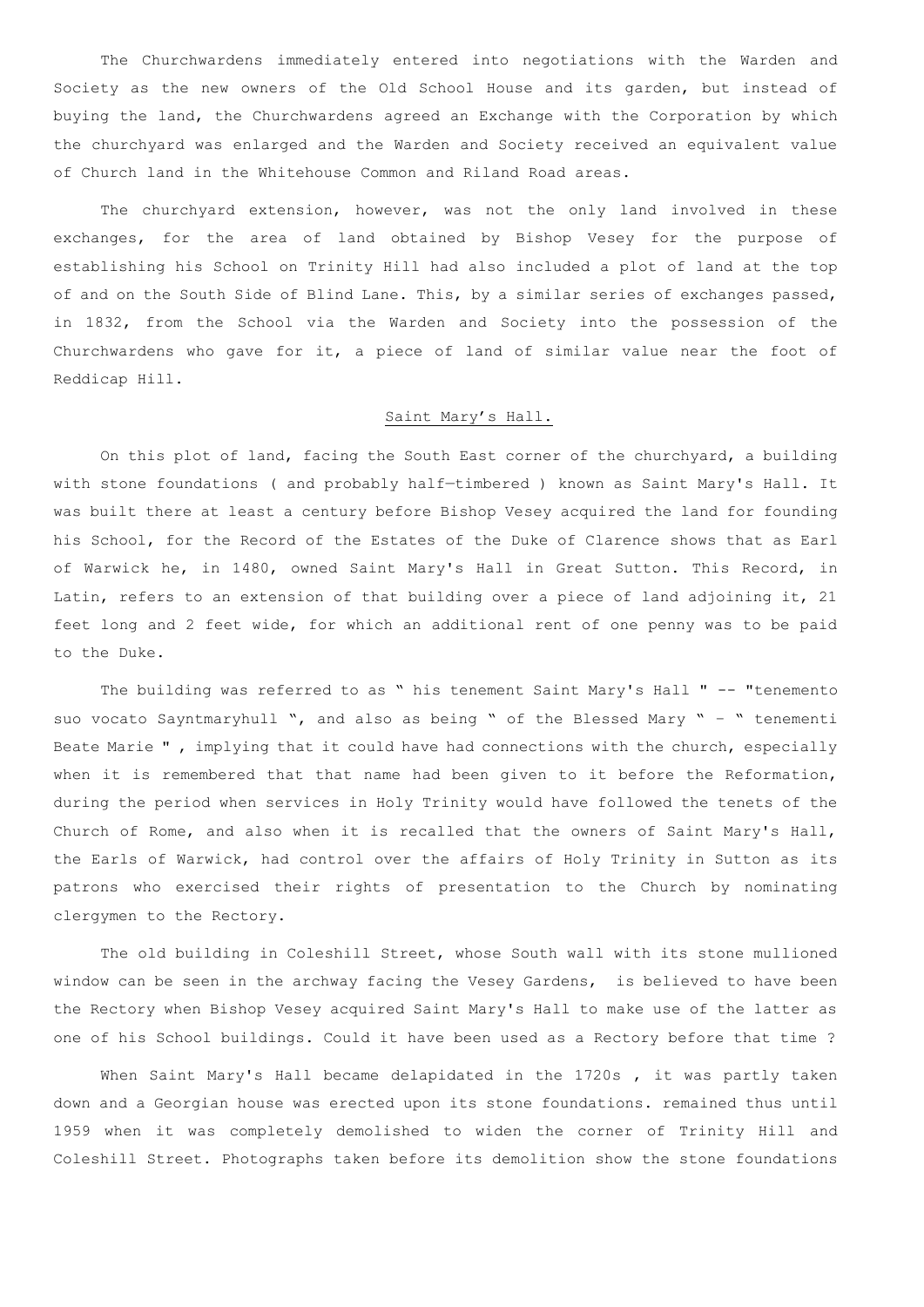The Churchwardens immediately entered into negotiations with the Warden and Society as the new owners of the Old School House and its garden, but instead of buying the land, the Churchwardens agreed an Exchange with the Corporation by which the churchyard was enlarged and the Warden and Society received an equivalent value of Church land in the Whitehouse Common and Riland Road areas.

The churchyard extension, however, was not the only land involved in these exchanges, for the area of land obtained by Bishop Vesey for the purpose of establishing his School on Trinity Hill had also included a plot of land at the top of and on the South Side of Blind Lane. This, by a similar series of exchanges passed, in 1832, from the School via the Warden and Society into the possession of the Churchwardens who gave for it, a piece of land of similar value near the foot of Reddicap Hill.

## Saint Mary's Hall.

On this plot of land, facing the South East corner of the churchyard, a building with stone foundations ( and probably half—timbered ) known as Saint Mary's Hall. It was built there at least a century before Bishop Vesey acquired the land for founding his School, for the Record of the Estates of the Duke of Clarence shows that as Earl of Warwick he, in 1480, owned Saint Mary's Hall in Great Sutton. This Record, in Latin, refers to an extension of that building over a piece of land adjoining it, 21 feet long and 2 feet wide, for which an additional rent of one penny was to be paid to the Duke.

The building was referred to as " his tenement Saint Mary's Hall " -- "tenemento suo vocato Sayntmaryhull ", and also as being " of the Blessed Mary " – " tenementi Beate Marie " , implying that it could have had connections with the church, especially when it is remembered that that name had been given to it before the Reformation, during the period when services in Holy Trinity would have followed the tenets of the Church of Rome, and also when it is recalled that the owners of Saint Mary's Hall, the Earls of Warwick, had control over the affairs of Holy Trinity in Sutton as its patrons who exercised their rights of presentation to the Church by nominating clergymen to the Rectory.

The old building in Coleshill Street, whose South wall with its stone mullioned window can be seen in the archway facing the Vesey Gardens, is believed to have been the Rectory when Bishop Vesey acquired Saint Mary's Hall to make use of the latter as one of his School buildings. Could it have been used as a Rectory before that time ?

When Saint Mary's Hall became delapidated in the 1720s , it was partly taken down and a Georgian house was erected upon its stone foundations. remained thus until 1959 when it was completely demolished to widen the corner of Trinity Hill and Coleshill Street. Photographs taken before its demolition show the stone foundations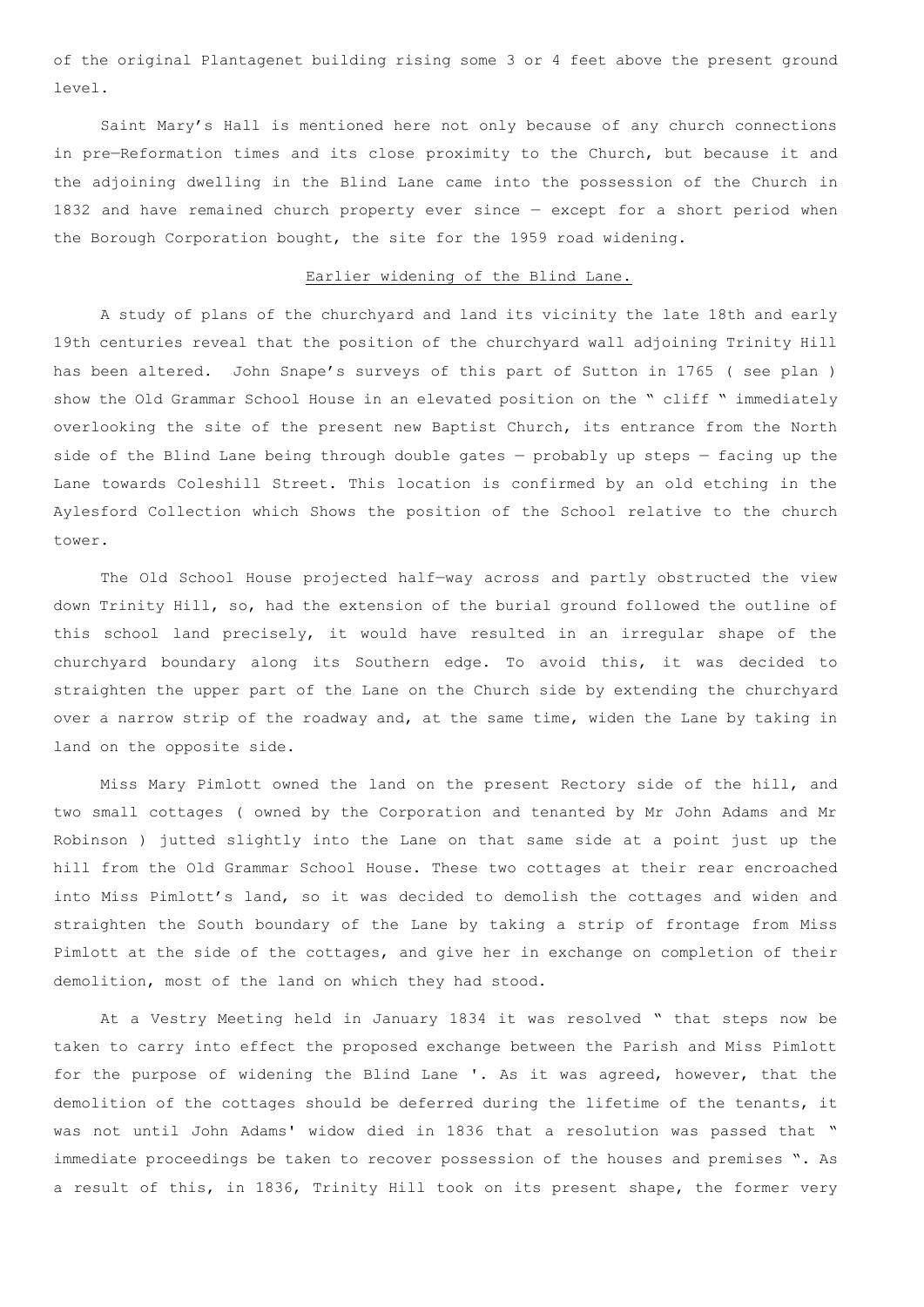of the original Plantagenet building rising some 3 or 4 feet above the present ground level.

Saint Mary's Hall is mentioned here not only because of any church connections in pre—Reformation times and its close proximity to the Church, but because it and the adjoining dwelling in the Blind Lane came into the possession of the Church in 1832 and have remained church property ever since — except for a short period when the Borough Corporation bought, the site for the 1959 road widening.

### Earlier widening of the Blind Lane.

A study of plans of the churchyard and land its vicinity the late 18th and early 19th centuries reveal that the position of the churchyard wall adjoining Trinity Hill has been altered. John Snape's surveys of this part of Sutton in 1765 ( see plan ) show the Old Grammar School House in an elevated position on the " cliff " immediately overlooking the site of the present new Baptist Church, its entrance from the North side of the Blind Lane being through double gates — probably up steps — facing up the Lane towards Coleshill Street. This location is confirmed by an old etching in the Aylesford Collection which Shows the position of the School relative to the church tower.

The Old School House projected half—way across and partly obstructed the view down Trinity Hill, so, had the extension of the burial ground followed the outline of this school land precisely, it would have resulted in an irregular shape of the churchyard boundary along its Southern edge. To avoid this, it was decided to straighten the upper part of the Lane on the Church side by extending the churchyard over a narrow strip of the roadway and, at the same time, widen the Lane by taking in land on the opposite side.

Miss Mary Pimlott owned the land on the present Rectory side of the hill, and two small cottages ( owned by the Corporation and tenanted by Mr John Adams and Mr Robinson ) jutted slightly into the Lane on that same side at a point just up the hill from the Old Grammar School House. These two cottages at their rear encroached into Miss Pimlott's land, so it was decided to demolish the cottages and widen and straighten the South boundary of the Lane by taking a strip of frontage from Miss Pimlott at the side of the cottages, and give her in exchange on completion of their demolition, most of the land on which they had stood.

At a Vestry Meeting held in January 1834 it was resolved " that steps now be taken to carry into effect the proposed exchange between the Parish and Miss Pimlott for the purpose of widening the Blind Lane '. As it was agreed, however, that the demolition of the cottages should be deferred during the lifetime of the tenants, it was not until John Adams' widow died in 1836 that a resolution was passed that " immediate proceedings be taken to recover possession of the houses and premises ". As a result of this, in 1836, Trinity Hill took on its present shape, the former very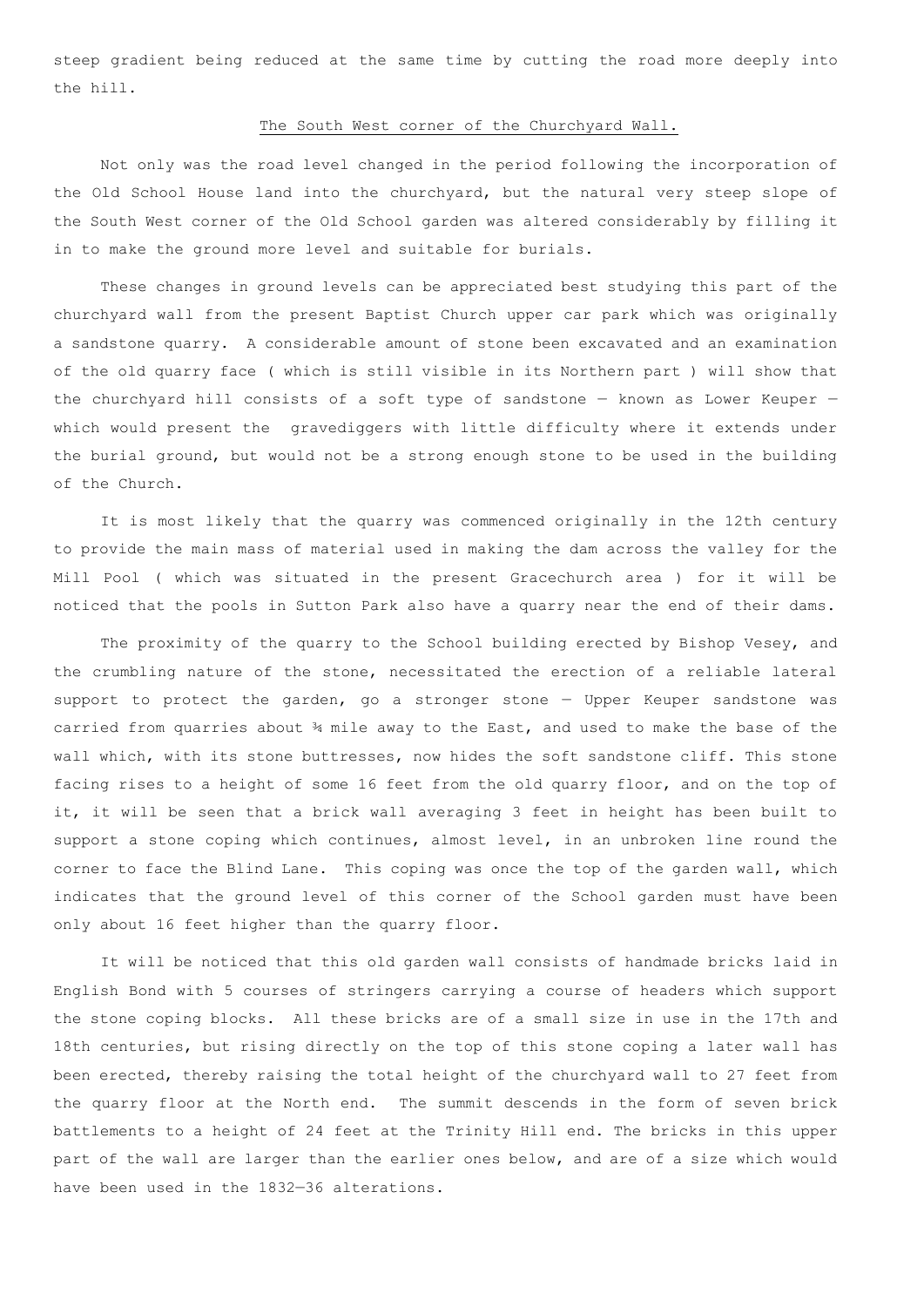steep gradient being reduced at the same time by cutting the road more deeply into the hill.

### The South West corner of the Churchyard Wall.

Not only was the road level changed in the period following the incorporation of the Old School House land into the churchyard, but the natural very steep slope of the South West corner of the Old School garden was altered considerably by filling it in to make the ground more level and suitable for burials.

These changes in ground levels can be appreciated best studying this part of the churchyard wall from the present Baptist Church upper car park which was originally a sandstone quarry. A considerable amount of stone been excavated and an examination of the old quarry face ( which is still visible in its Northern part ) will show that the churchyard hill consists of a soft type of sandstone  $-$  known as Lower Keuper  $$ which would present the gravediggers with little difficulty where it extends under the burial ground, but would not be a strong enough stone to be used in the building of the Church.

It is most likely that the quarry was commenced originally in the 12th century to provide the main mass of material used in making the dam across the valley for the Mill Pool ( which was situated in the present Gracechurch area ) for it will be noticed that the pools in Sutton Park also have a quarry near the end of their dams.

The proximity of the quarry to the School building erected by Bishop Vesey, and the crumbling nature of the stone, necessitated the erection of a reliable lateral support to protect the garden, go a stronger stone — Upper Keuper sandstone was carried from quarries about ¾ mile away to the East, and used to make the base of the wall which, with its stone buttresses, now hides the soft sandstone cliff. This stone facing rises to a height of some 16 feet from the old quarry floor, and on the top of it, it will be seen that a brick wall averaging 3 feet in height has been built to support a stone coping which continues, almost level, in an unbroken line round the corner to face the Blind Lane. This coping was once the top of the garden wall, which indicates that the ground level of this corner of the School garden must have been only about 16 feet higher than the quarry floor.

It will be noticed that this old garden wall consists of handmade bricks laid in English Bond with 5 courses of stringers carrying a course of headers which support the stone coping blocks. All these bricks are of a small size in use in the 17th and 18th centuries, but rising directly on the top of this stone coping a later wall has been erected, thereby raising the total height of the churchyard wall to 27 feet from the quarry floor at the North end. The summit descends in the form of seven brick battlements to a height of 24 feet at the Trinity Hill end. The bricks in this upper part of the wall are larger than the earlier ones below, and are of a size which would have been used in the 1832—36 alterations.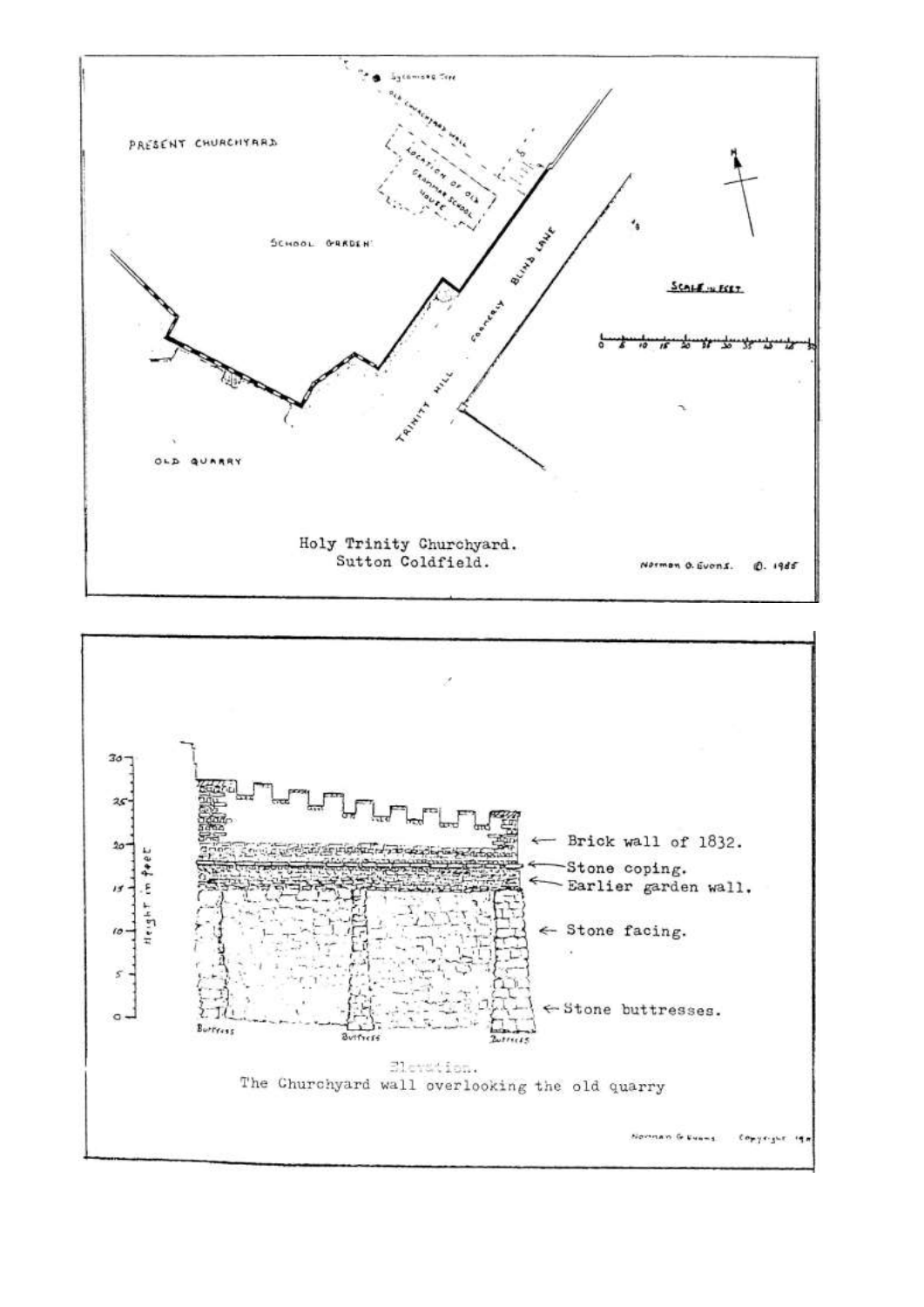

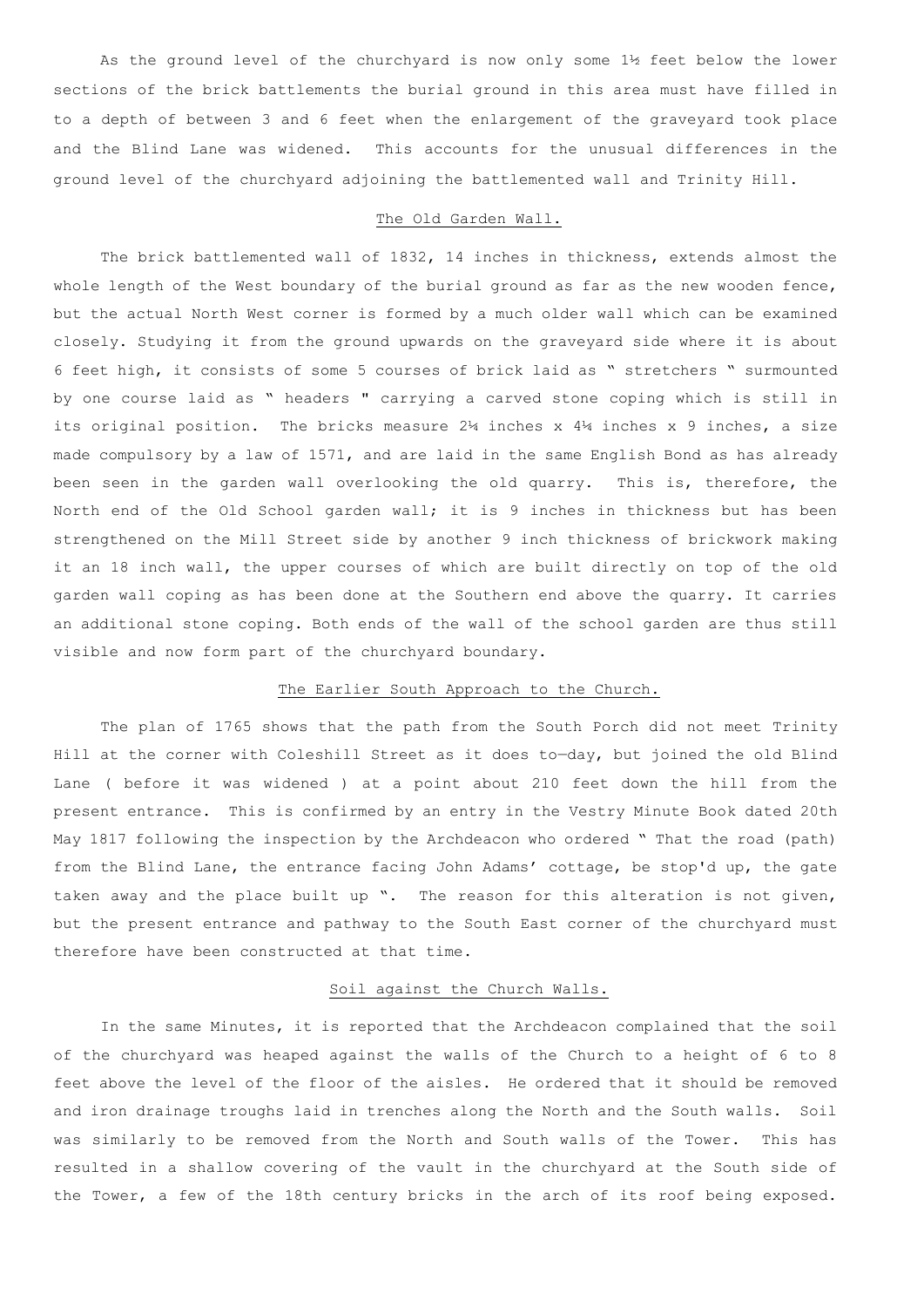As the ground level of the churchyard is now only some 1½ feet below the lower sections of the brick battlements the burial ground in this area must have filled in to a depth of between 3 and 6 feet when the enlargement of the graveyard took place and the Blind Lane was widened. This accounts for the unusual differences in the ground level of the churchyard adjoining the battlemented wall and Trinity Hill.

## The Old Garden Wall.

The brick battlemented wall of 1832, 14 inches in thickness, extends almost the whole length of the West boundary of the burial ground as far as the new wooden fence, but the actual North West corner is formed by a much older wall which can be examined closely. Studying it from the ground upwards on the graveyard side where it is about 6 feet high, it consists of some 5 courses of brick laid as " stretchers " surmounted by one course laid as " headers " carrying a carved stone coping which is still in its original position. The bricks measure  $24$  inches x  $44$  inches x 9 inches, a size made compulsory by a law of 1571, and are laid in the same English Bond as has already been seen in the garden wall overlooking the old quarry. This is, therefore, the North end of the Old School garden wall; it is 9 inches in thickness but has been strengthened on the Mill Street side by another 9 inch thickness of brickwork making it an 18 inch wall, the upper courses of which are built directly on top of the old garden wall coping as has been done at the Southern end above the quarry. It carries an additional stone coping. Both ends of the wall of the school garden are thus still visible and now form part of the churchyard boundary.

### The Earlier South Approach to the Church.

The plan of 1765 shows that the path from the South Porch did not meet Trinity Hill at the corner with Coleshill Street as it does to—day, but joined the old Blind Lane ( before it was widened ) at a point about 210 feet down the hill from the present entrance. This is confirmed by an entry in the Vestry Minute Book dated 20th May 1817 following the inspection by the Archdeacon who ordered " That the road (path) from the Blind Lane, the entrance facing John Adams' cottage, be stop'd up, the gate taken away and the place built up ". The reason for this alteration is not given, but the present entrance and pathway to the South East corner of the churchyard must therefore have been constructed at that time.

### Soil against the Church Walls.

In the same Minutes, it is reported that the Archdeacon complained that the soil of the churchyard was heaped against the walls of the Church to a height of 6 to 8 feet above the level of the floor of the aisles. He ordered that it should be removed and iron drainage troughs laid in trenches along the North and the South walls. Soil was similarly to be removed from the North and South walls of the Tower. This has resulted in a shallow covering of the vault in the churchyard at the South side of the Tower, a few of the 18th century bricks in the arch of its roof being exposed.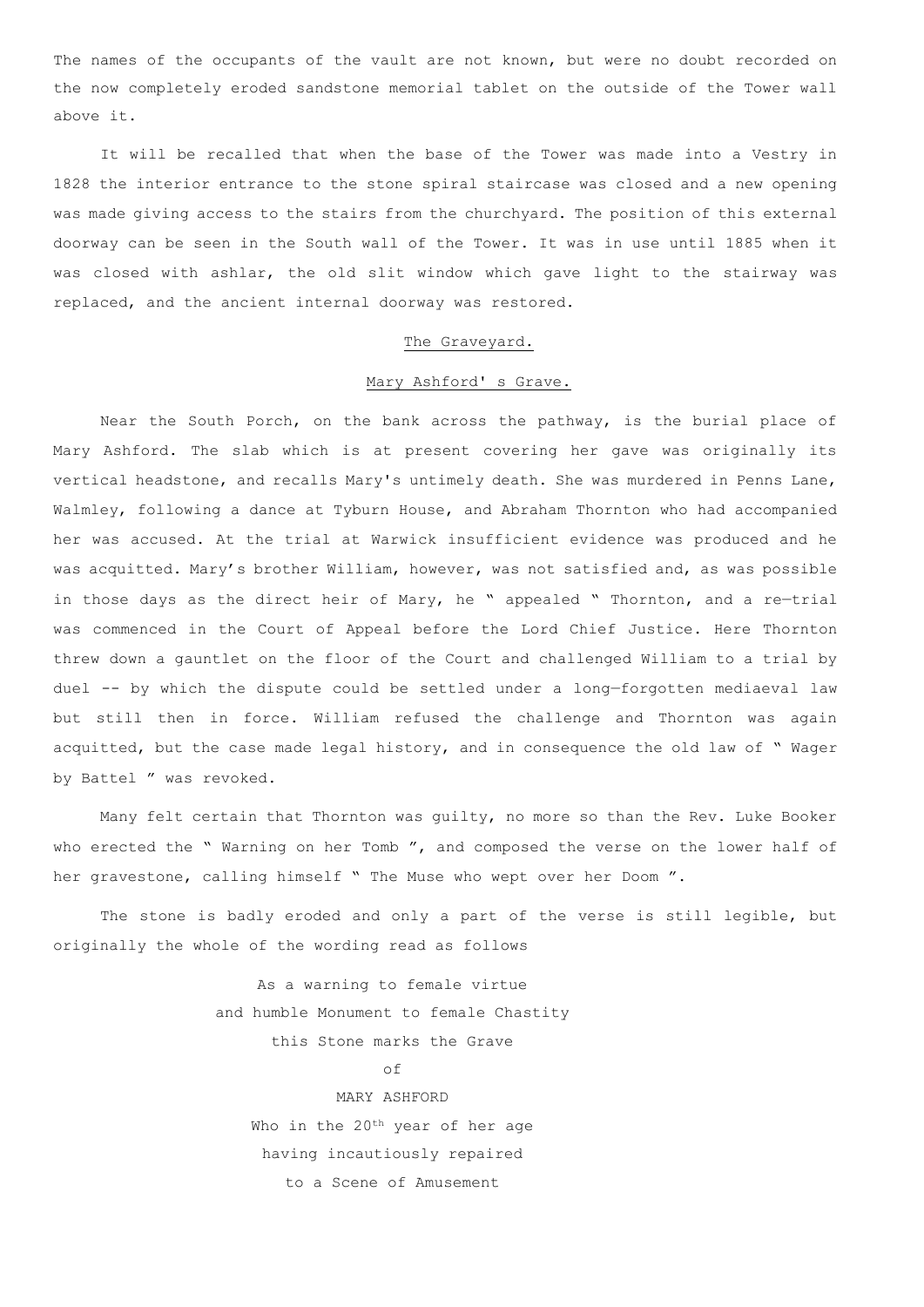The names of the occupants of the vault are not known, but were no doubt recorded on the now completely eroded sandstone memorial tablet on the outside of the Tower wall above it.

It will be recalled that when the base of the Tower was made into a Vestry in 1828 the interior entrance to the stone spiral staircase was closed and a new opening was made giving access to the stairs from the churchyard. The position of this external doorway can be seen in the South wall of the Tower. It was in use until 1885 when it was closed with ashlar, the old slit window which gave light to the stairway was replaced, and the ancient internal doorway was restored.

#### The Graveyard.

## Mary Ashford' s Grave.

Near the South Porch, on the bank across the pathway, is the burial place of Mary Ashford. The slab which is at present covering her gave was originally its vertical headstone, and recalls Mary's untimely death. She was murdered in Penns Lane, Walmley, following a dance at Tyburn House, and Abraham Thornton who had accompanied her was accused. At the trial at Warwick insufficient evidence was produced and he was acquitted. Mary's brother William, however, was not satisfied and, as was possible in those days as the direct heir of Mary, he " appealed " Thornton, and a re—trial was commenced in the Court of Appeal before the Lord Chief Justice. Here Thornton threw down a gauntlet on the floor of the Court and challenged William to a trial by duel -- by which the dispute could be settled under a long—forgotten mediaeval law but still then in force. William refused the challenge and Thornton was again acquitted, but the case made legal history, and in consequence the old law of " Wager by Battel " was revoked.

Many felt certain that Thornton was guilty, no more so than the Rev. Luke Booker who erected the " Warning on her Tomb ", and composed the verse on the lower half of her gravestone, calling himself " The Muse who wept over her Doom ".

The stone is badly eroded and only a part of the verse is still legible, but originally the whole of the wording read as follows

> As a warning to female virtue and humble Monument to female Chastity this Stone marks the Grave  $\cap f$ MARY ASHFORD Who in the 20<sup>th</sup> year of her age having incautiously repaired to a Scene of Amusement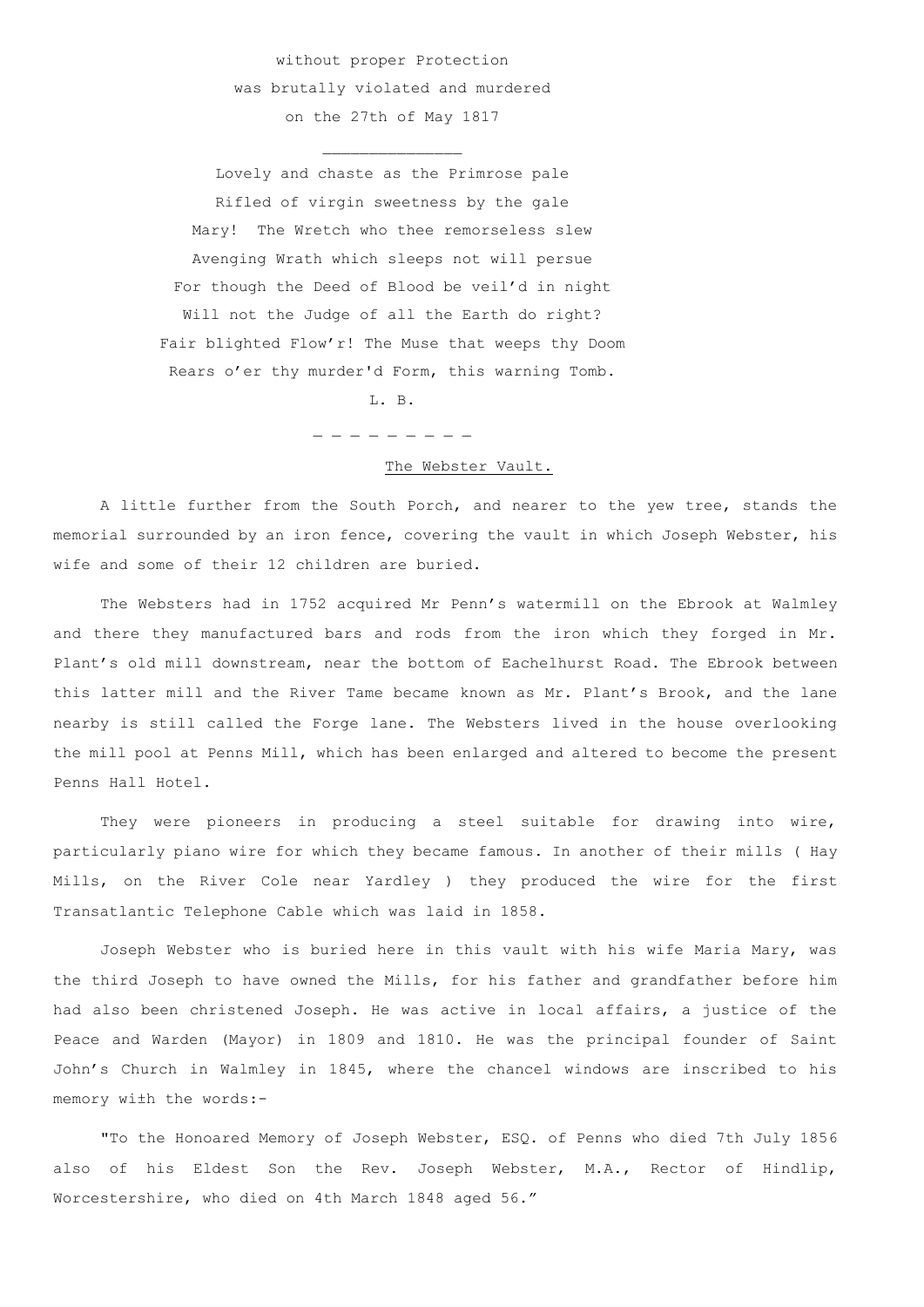without proper Protection was brutally violated and murdered on the 27th of May 1817

Lovely and chaste as the Primrose pale Rifled of virgin sweetness by the gale Mary! The Wretch who thee remorseless slew Avenging Wrath which sleeps not will persue For though the Deed of Blood be veil'd in night Will not the Judge of all the Earth do right? Fair blighted Flow'r! The Muse that weeps thy Doom Rears o'er thy murder'd Form, this warning Tomb.

L. B.

\_ \_ \_ \_ \_ \_ \_ \_ \_

## The Webster Vault.

A little further from the South Porch, and nearer to the yew tree, stands the memorial surrounded by an iron fence, covering the vault in which Joseph Webster, his wife and some of their 12 children are buried.

The Websters had in 1752 acquired Mr Penn's watermill on the Ebrook at Walmley and there they manufactured bars and rods from the iron which they forged in Mr. Plant's old mill downstream, near the bottom of Eachelhurst Road. The Ebrook between this latter mill and the River Tame became known as Mr. Plant's Brook, and the lane nearby is still called the Forge lane. The Websters lived in the house overlooking the mill pool at Penns Mill, which has been enlarged and altered to become the present Penns Hall Hotel.

They were pioneers in producing a steel suitable for drawing into wire, particularly piano wire for which they became famous. In another of their mills ( Hay Mills, on the River Cole near Yardley ) they produced the wire for the first Transatlantic Telephone Cable which was laid in 1858.

Joseph Webster who is buried here in this vault with his wife Maria Mary, was the third Joseph to have owned the Mills, for his father and grandfather before him had also been christened Joseph. He was active in local affairs, a justice of the Peace and Warden (Mayor) in 1809 and 1810. He was the principal founder of Saint John's Church in Walmley in 1845, where the chancel windows are inscribed to his memory wi±h the words:-

"To the Honoared Memory of Joseph Webster, ESQ. of Penns who died 7th July 1856 also of his Eldest Son the Rev. Joseph Webster, M.A., Rector of Hindlip, Worcestershire, who died on 4th March 1848 aged 56."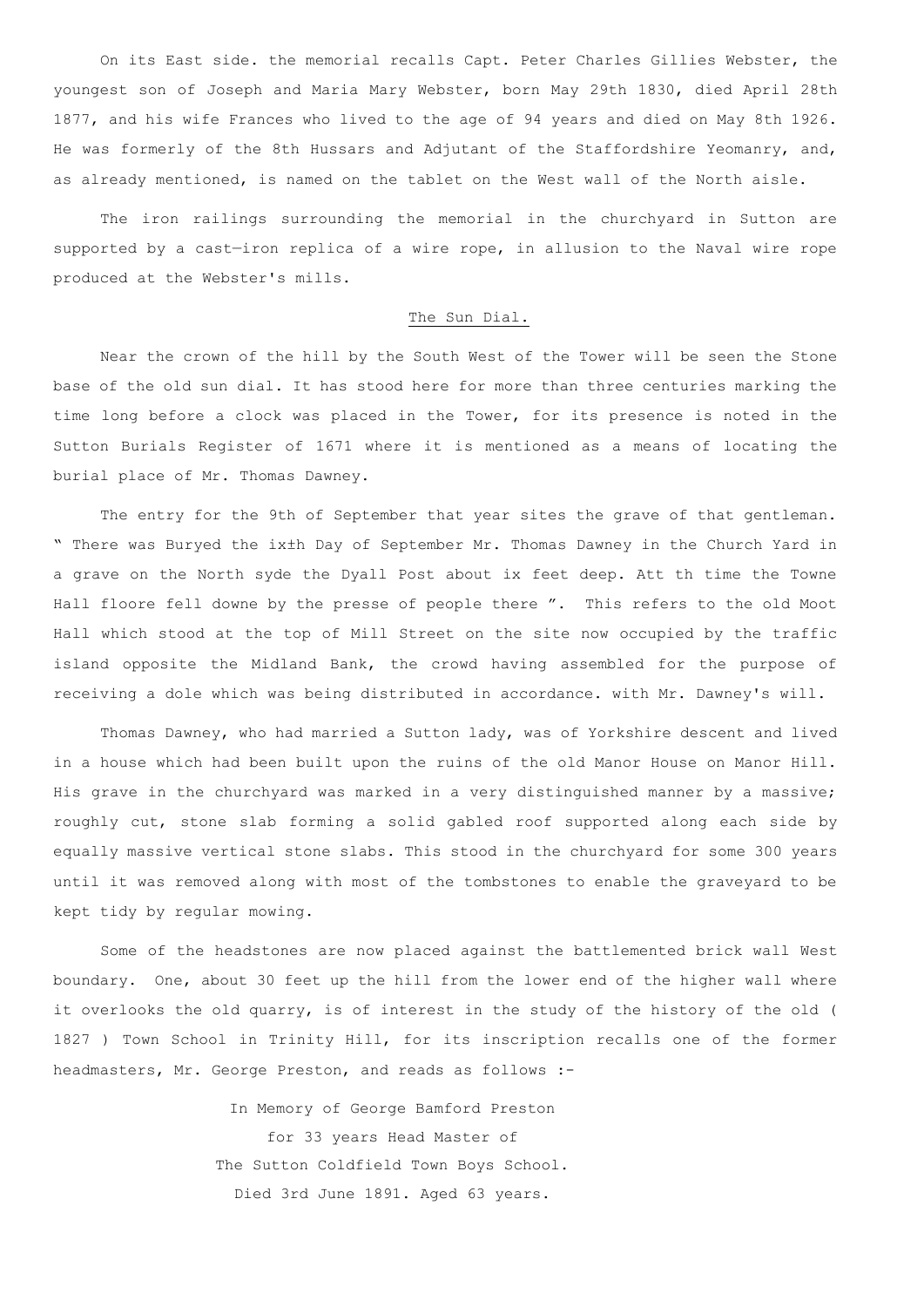On its East side. the memorial recalls Capt. Peter Charles Gillies Webster, the youngest son of Joseph and Maria Mary Webster, born May 29th 1830, died April 28th 1877, and his wife Frances who lived to the age of 94 years and died on May 8th 1926. He was formerly of the 8th Hussars and Adjutant of the Staffordshire Yeomanry, and, as already mentioned, is named on the tablet on the West wall of the North aisle.

The iron railings surrounding the memorial in the churchyard in Sutton are supported by a cast—iron replica of a wire rope, in allusion to the Naval wire rope produced at the Webster's mills.

### The Sun Dial.

Near the crown of the hill by the South West of the Tower will be seen the Stone base of the old sun dial. It has stood here for more than three centuries marking the time long before a clock was placed in the Tower, for its presence is noted in the Sutton Burials Register of 1671 where it is mentioned as a means of locating the burial place of Mr. Thomas Dawney.

The entry for the 9th of September that year sites the grave of that gentleman. " There was Buryed the ix±h Day of September Mr. Thomas Dawney in the Church Yard in a grave on the North syde the Dyall Post about ix feet deep. Att th time the Towne Hall floore fell downe by the presse of people there ". This refers to the old Moot Hall which stood at the top of Mill Street on the site now occupied by the traffic island opposite the Midland Bank, the crowd having assembled for the purpose of receiving a dole which was being distributed in accordance. with Mr. Dawney's will.

Thomas Dawney, who had married a Sutton lady, was of Yorkshire descent and lived in a house which had been built upon the ruins of the old Manor House on Manor Hill. His grave in the churchyard was marked in a very distinguished manner by a massive; roughly cut, stone slab forming a solid gabled roof supported along each side by equally massive vertical stone slabs. This stood in the churchyard for some 300 years until it was removed along with most of the tombstones to enable the graveyard to be kept tidy by regular mowing.

Some of the headstones are now placed against the battlemented brick wall West boundary. One, about 30 feet up the hill from the lower end of the higher wall where it overlooks the old quarry, is of interest in the study of the history of the old ( 1827 ) Town School in Trinity Hill, for its inscription recalls one of the former headmasters, Mr. George Preston, and reads as follows :-

> In Memory of George Bamford Preston for 33 years Head Master of The Sutton Coldfield Town Boys School. Died 3rd June 1891. Aged 63 years.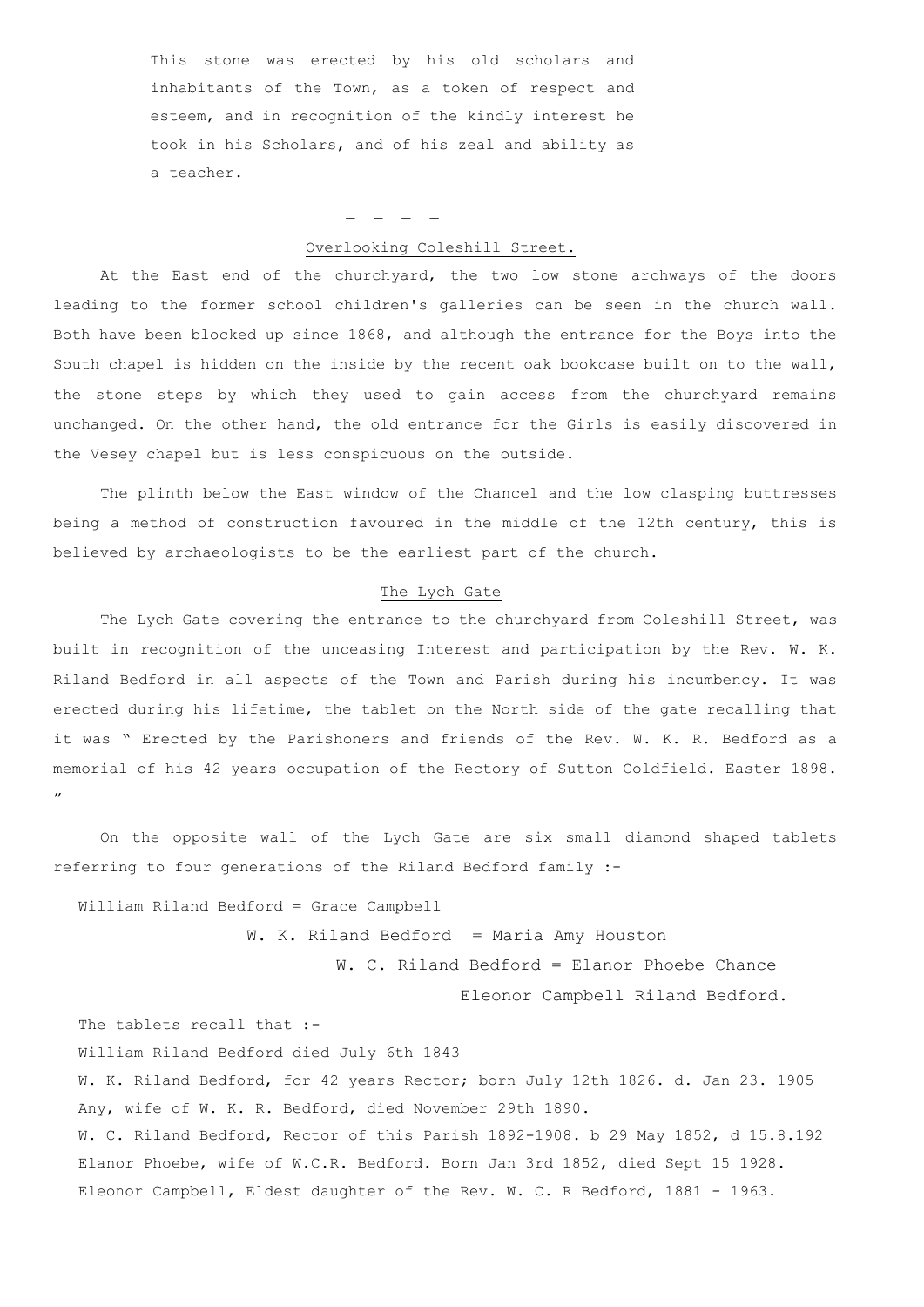This stone was erected by his old scholars and inhabitants of the Town, as a token of respect and esteem, and in recognition of the kindly interest he took in his Scholars, and of his zeal and ability as a teacher.

\_ \_ \_ \_

### Overlooking Coleshill Street.

At the East end of the churchyard, the two low stone archways of the doors leading to the former school children's galleries can be seen in the church wall. Both have been blocked up since 1868, and although the entrance for the Boys into the South chapel is hidden on the inside by the recent oak bookcase built on to the wall, the stone steps by which they used to gain access from the churchyard remains unchanged. On the other hand, the old entrance for the Girls is easily discovered in the Vesey chapel but is less conspicuous on the outside.

The plinth below the East window of the Chancel and the low clasping buttresses being a method of construction favoured in the middle of the 12th century, this is believed by archaeologists to be the earliest part of the church.

### The Lych Gate

The Lych Gate covering the entrance to the churchyard from Coleshill Street, was built in recognition of the unceasing Interest and participation by the Rev. W. K. Riland Bedford in all aspects of the Town and Parish during his incumbency. It was erected during his lifetime, the tablet on the North side of the gate recalling that it was " Erected by the Parishoners and friends of the Rev. W. K. R. Bedford as a memorial of his 42 years occupation of the Rectory of Sutton Coldfield. Easter 1898. "

On the opposite wall of the Lych Gate are six small diamond shaped tablets referring to four generations of the Riland Bedford family :-

William Riland Bedford = Grace Campbell

W. K. Riland Bedford = Maria Amy Houston W. C. Riland Bedford = Elanor Phoebe Chance Eleonor Campbell Riland Bedford.

The tablets recall that :-

William Riland Bedford died July 6th 1843

W. K. Riland Bedford, for 42 years Rector; born July 12th 1826. d. Jan 23. 1905 Any, wife of W. K. R. Bedford, died November 29th 1890. W. C. Riland Bedford, Rector of this Parish 1892-1908. b 29 May 1852, d 15.8.192

Elanor Phoebe, wife of W.C.R. Bedford. Born Jan 3rd 1852, died Sept 15 1928. Eleonor Campbell, Eldest daughter of the Rev. W. C. R Bedford, 1881 - 1963.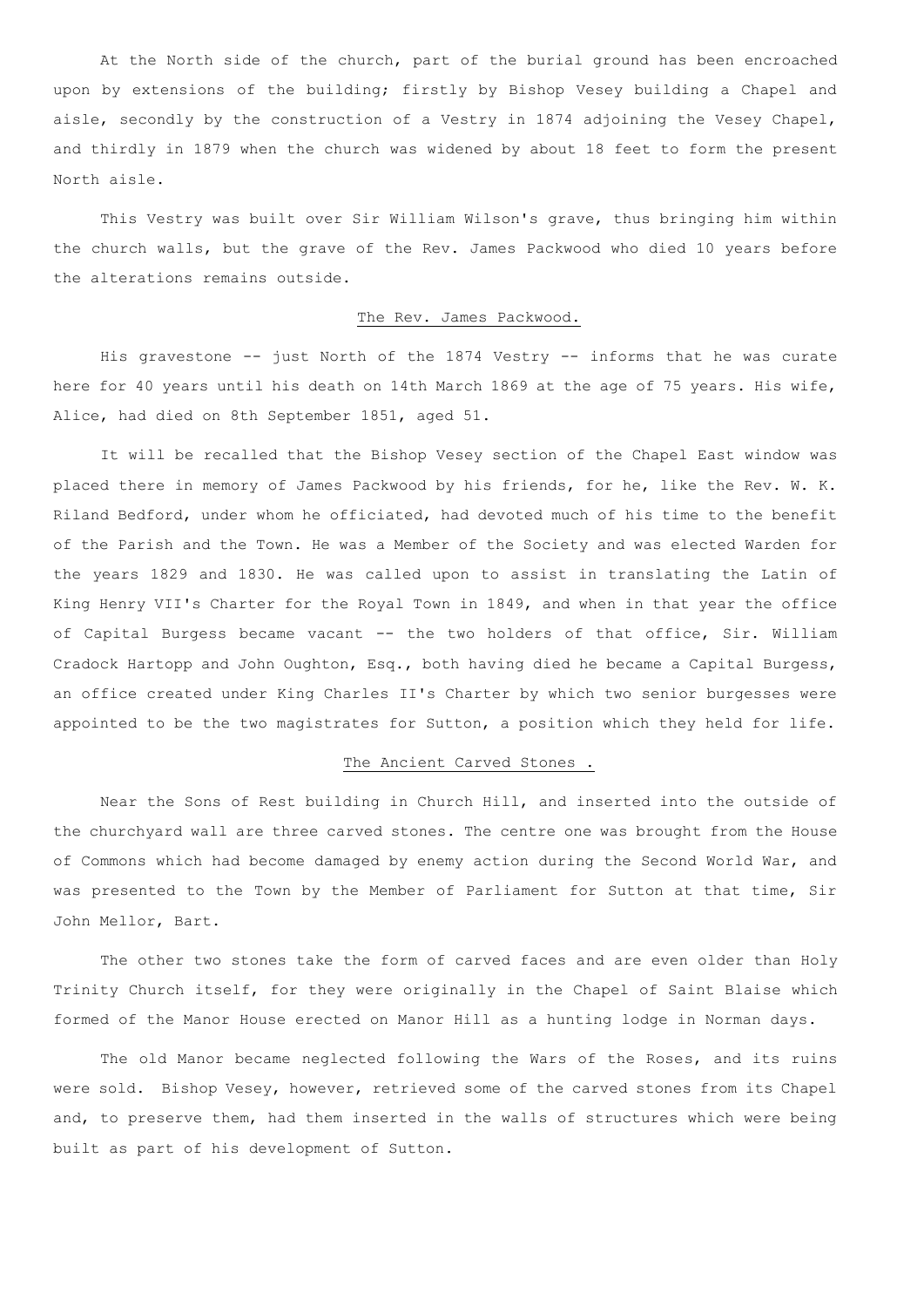At the North side of the church, part of the burial ground has been encroached upon by extensions of the building; firstly by Bishop Vesey building a Chapel and aisle, secondly by the construction of a Vestry in 1874 adjoining the Vesey Chapel, and thirdly in 1879 when the church was widened by about 18 feet to form the present North aisle.

This Vestry was built over Sir William Wilson's grave, thus bringing him within the church walls, but the grave of the Rev. James Packwood who died 10 years before the alterations remains outside.

### The Rev. James Packwood.

His gravestone -- just North of the 1874 Vestry -- informs that he was curate here for 40 years until his death on 14th March 1869 at the age of 75 years. His wife, Alice, had died on 8th September 1851, aged 51.

It will be recalled that the Bishop Vesey section of the Chapel East window was placed there in memory of James Packwood by his friends, for he, like the Rev. W. K. Riland Bedford, under whom he officiated, had devoted much of his time to the benefit of the Parish and the Town. He was a Member of the Society and was elected Warden for the years 1829 and 1830. He was called upon to assist in translating the Latin of King Henry VII's Charter for the Royal Town in 1849, and when in that year the office of Capital Burgess became vacant -- the two holders of that office, Sir. William Cradock Hartopp and John Oughton, Esq., both having died he became a Capital Burgess, an office created under King Charles II's Charter by which two senior burgesses were appointed to be the two magistrates for Sutton, a position which they held for life.

### The Ancient Carved Stones .

Near the Sons of Rest building in Church Hill, and inserted into the outside of the churchyard wall are three carved stones. The centre one was brought from the House of Commons which had become damaged by enemy action during the Second World War, and was presented to the Town by the Member of Parliament for Sutton at that time, Sir John Mellor, Bart.

The other two stones take the form of carved faces and are even older than Holy Trinity Church itself, for they were originally in the Chapel of Saint Blaise which formed of the Manor House erected on Manor Hill as a hunting lodge in Norman days.

The old Manor became neglected following the Wars of the Roses, and its ruins were sold. Bishop Vesey, however, retrieved some of the carved stones from its Chapel and, to preserve them, had them inserted in the walls of structures which were being built as part of his development of Sutton.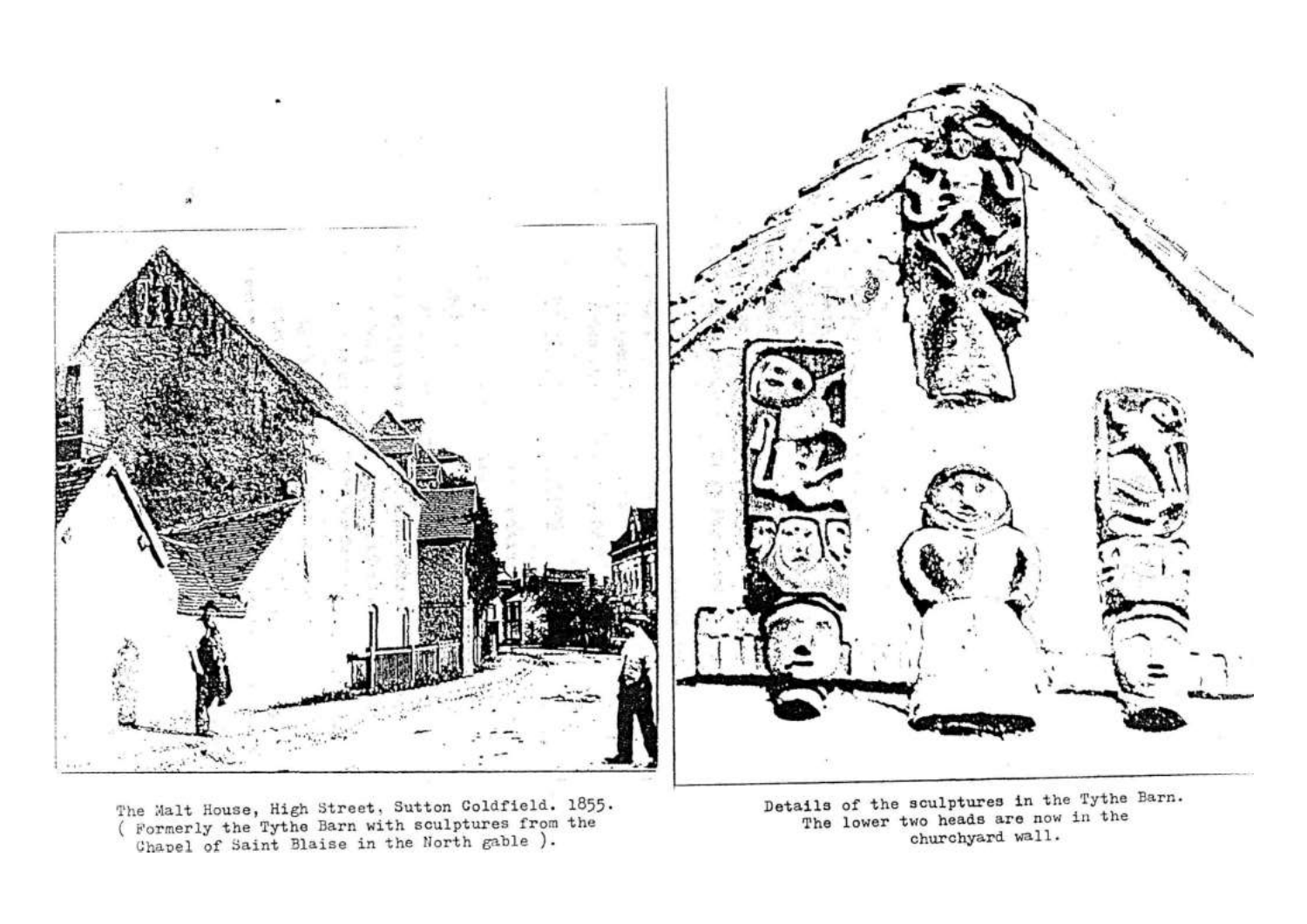

The Malt House, High Street, Sutton Coldfield. 1855.<br>( Formerly the Tythe Barn with sculptures from the Chapel of Saint Blaise in the North gable ).

Details of the sculptures in the Tythe Barn. The lower two heads are now in the churchyard wall.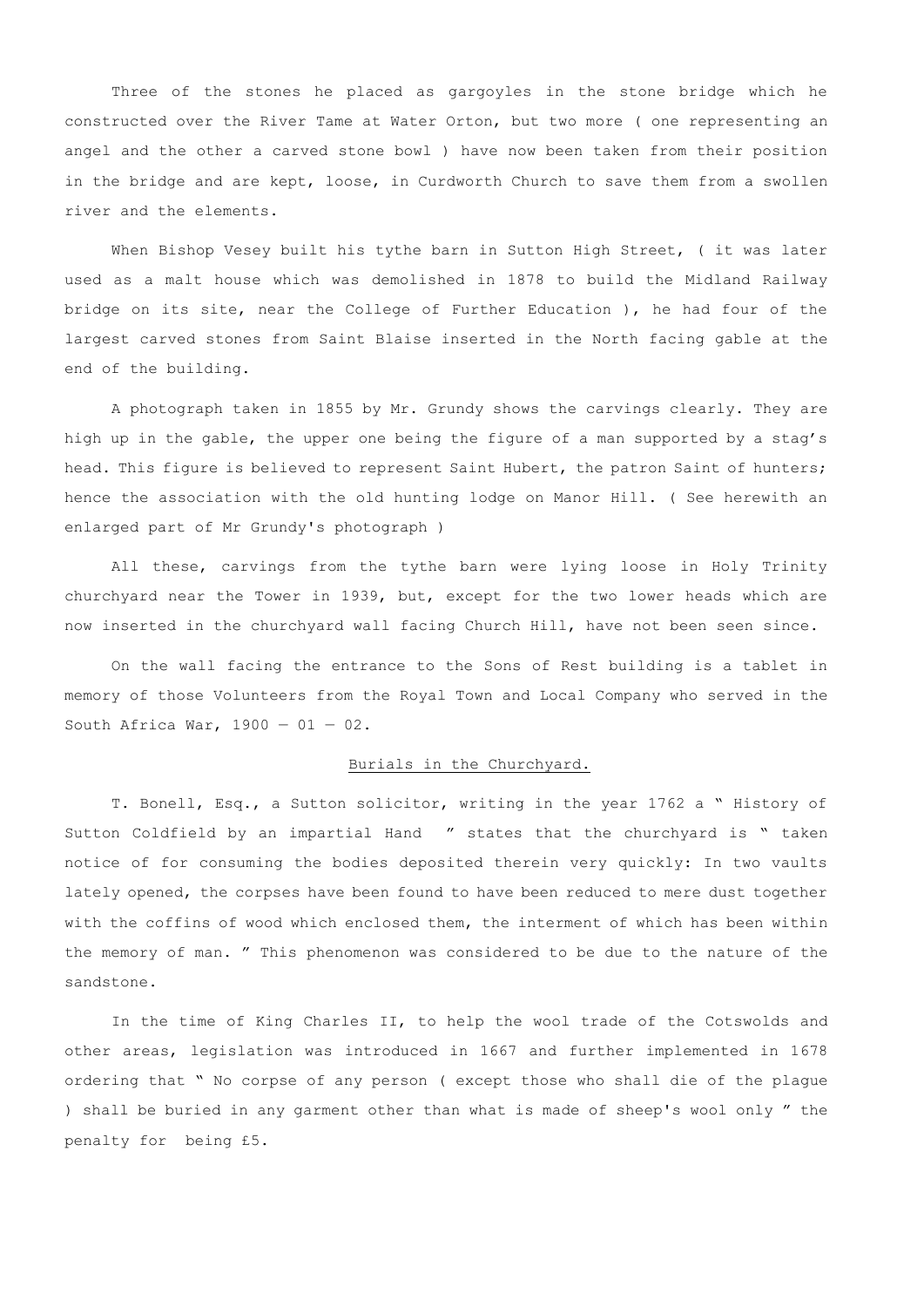Three of the stones he placed as gargoyles in the stone bridge which he constructed over the River Tame at Water Orton, but two more ( one representing an angel and the other a carved stone bowl ) have now been taken from their position in the bridge and are kept, loose, in Curdworth Church to save them from a swollen river and the elements.

When Bishop Vesey built his tythe barn in Sutton High Street, ( it was later used as a malt house which was demolished in 1878 to build the Midland Railway bridge on its site, near the College of Further Education ), he had four of the largest carved stones from Saint Blaise inserted in the North facing gable at the end of the building.

A photograph taken in 1855 by Mr. Grundy shows the carvings clearly. They are high up in the gable, the upper one being the figure of a man supported by a stag's head. This figure is believed to represent Saint Hubert, the patron Saint of hunters; hence the association with the old hunting lodge on Manor Hill. ( See herewith an enlarged part of Mr Grundy's photograph )

All these, carvings from the tythe barn were lying loose in Holy Trinity churchyard near the Tower in 1939, but, except for the two lower heads which are now inserted in the churchyard wall facing Church Hill, have not been seen since.

On the wall facing the entrance to the Sons of Rest building is a tablet in memory of those Volunteers from the Royal Town and Local Company who served in the South Africa War,  $1900 - 01 - 02$ .

### Burials in the Churchyard.

T. Bonell, Esq., a Sutton solicitor, writing in the year 1762 a " History of Sutton Coldfield by an impartial Hand " states that the churchyard is " taken notice of for consuming the bodies deposited therein very quickly: In two vaults lately opened, the corpses have been found to have been reduced to mere dust together with the coffins of wood which enclosed them, the interment of which has been within the memory of man. " This phenomenon was considered to be due to the nature of the sandstone.

In the time of King Charles II, to help the wool trade of the Cotswolds and other areas, legislation was introduced in 1667 and further implemented in 1678 ordering that " No corpse of any person ( except those who shall die of the plague ) shall be buried in any garment other than what is made of sheep's wool only " the penalty for being £5.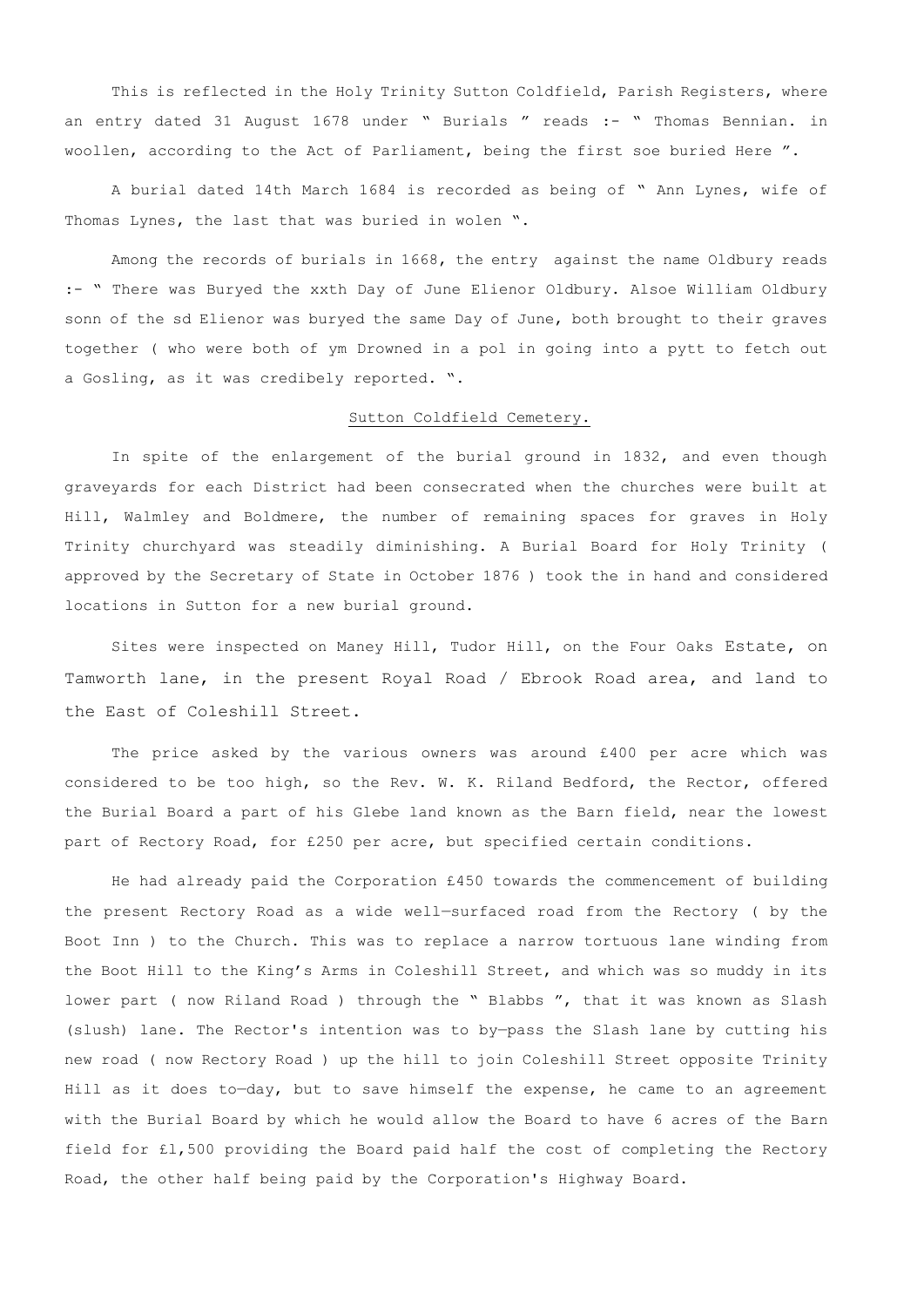This is reflected in the Holy Trinity Sutton Coldfield, Parish Registers, where an entry dated 31 August 1678 under " Burials " reads :- " Thomas Bennian. in woollen, according to the Act of Parliament, being the first soe buried Here ".

A burial dated 14th March 1684 is recorded as being of " Ann Lynes, wife of Thomas Lynes, the last that was buried in wolen ".

Among the records of burials in 1668, the entry against the name Oldbury reads :- " There was Buryed the xxth Day of June Elienor Oldbury. Alsoe William Oldbury sonn of the sd Elienor was buryed the same Day of June, both brought to their graves together ( who were both of ym Drowned in a pol in going into a pytt to fetch out a Gosling, as it was credibely reported. ".

### Sutton Coldfield Cemetery.

In spite of the enlargement of the burial ground in 1832, and even though graveyards for each District had been consecrated when the churches were built at Hill, Walmley and Boldmere, the number of remaining spaces for graves in Holy Trinity churchyard was steadily diminishing. A Burial Board for Holy Trinity ( approved by the Secretary of State in October 1876 ) took the in hand and considered locations in Sutton for a new burial ground.

Sites were inspected on Maney Hill, Tudor Hill, on the Four Oaks Estate, on Tamworth lane, in the present Royal Road / Ebrook Road area, and land to the East of Coleshill Street.

The price asked by the various owners was around £400 per acre which was considered to be too high, so the Rev. W. K. Riland Bedford, the Rector, offered the Burial Board a part of his Glebe land known as the Barn field, near the lowest part of Rectory Road, for £250 per acre, but specified certain conditions.

He had already paid the Corporation £450 towards the commencement of building the present Rectory Road as a wide well—surfaced road from the Rectory ( by the Boot Inn ) to the Church. This was to replace a narrow tortuous lane winding from the Boot Hill to the King's Arms in Coleshill Street, and which was so muddy in its lower part ( now Riland Road ) through the " Blabbs ", that it was known as Slash (slush) lane. The Rector's intention was to by—pass the Slash lane by cutting his new road ( now Rectory Road ) up the hill to join Coleshill Street opposite Trinity Hill as it does to-day, but to save himself the expense, he came to an agreement with the Burial Board by which he would allow the Board to have 6 acres of the Barn field for £l,500 providing the Board paid half the cost of completing the Rectory Road, the other half being paid by the Corporation's Highway Board.